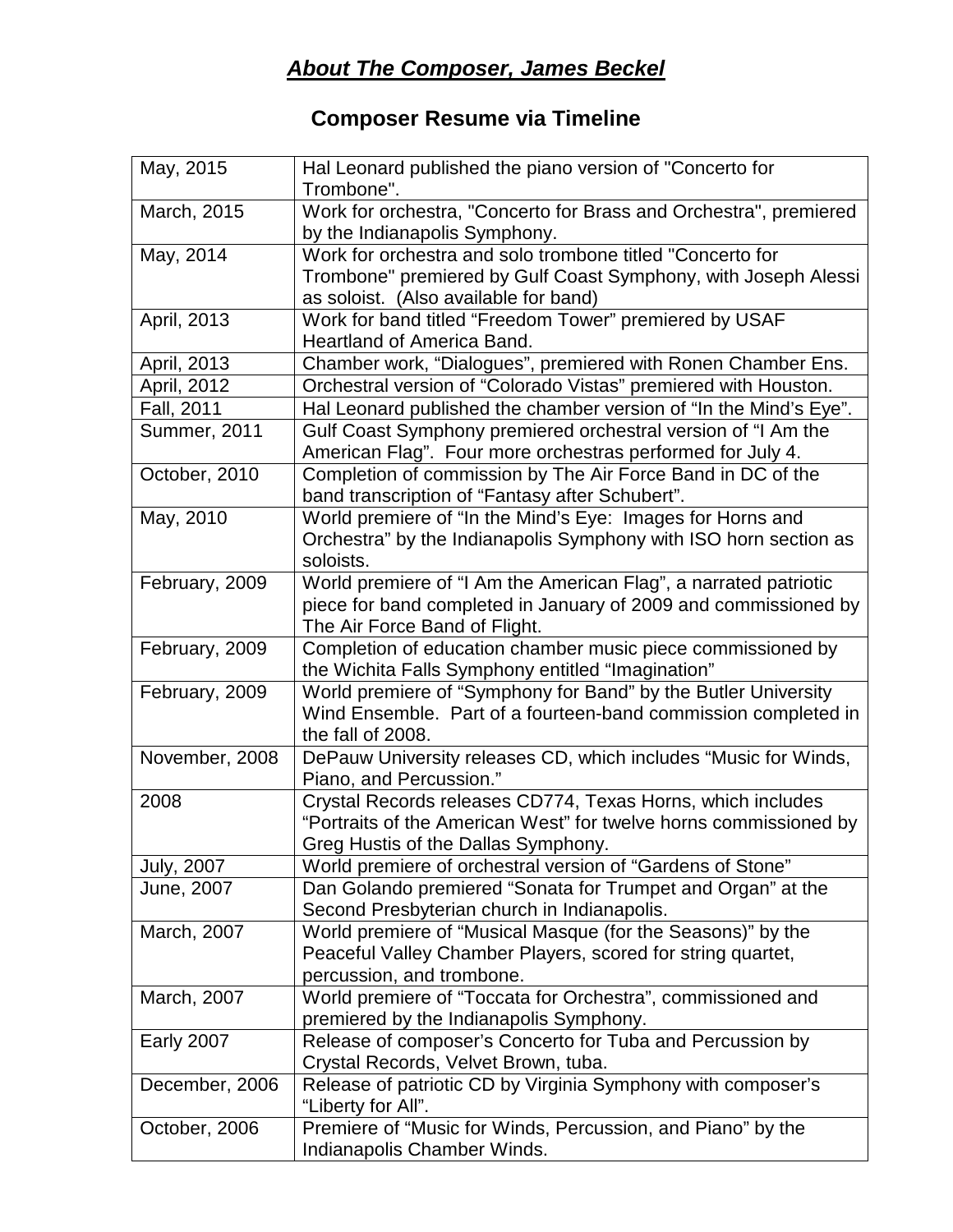## *About The Composer, James Beckel*

## **Composer Resume via Timeline**

| May, 2015           | Hal Leonard published the piano version of "Concerto for<br>Trombone".              |
|---------------------|-------------------------------------------------------------------------------------|
| March, 2015         | Work for orchestra, "Concerto for Brass and Orchestra", premiered                   |
|                     | by the Indianapolis Symphony.                                                       |
| May, 2014           | Work for orchestra and solo trombone titled "Concerto for                           |
|                     | Trombone" premiered by Gulf Coast Symphony, with Joseph Alessi                      |
|                     | as soloist. (Also available for band)                                               |
| April, 2013         | Work for band titled "Freedom Tower" premiered by USAF                              |
|                     | <b>Heartland of America Band.</b>                                                   |
| April, 2013         | Chamber work, "Dialogues", premiered with Ronen Chamber Ens.                        |
| April, 2012         | Orchestral version of "Colorado Vistas" premiered with Houston.                     |
| Fall, 2011          | Hal Leonard published the chamber version of "In the Mind's Eye".                   |
| <b>Summer, 2011</b> | Gulf Coast Symphony premiered orchestral version of "I Am the                       |
|                     | American Flag". Four more orchestras performed for July 4.                          |
| October, 2010       | Completion of commission by The Air Force Band in DC of the                         |
|                     | band transcription of "Fantasy after Schubert".                                     |
| May, 2010           | World premiere of "In the Mind's Eye: Images for Horns and                          |
|                     | Orchestra" by the Indianapolis Symphony with ISO horn section as                    |
|                     | soloists.                                                                           |
| February, 2009      | World premiere of "I Am the American Flag", a narrated patriotic                    |
|                     | piece for band completed in January of 2009 and commissioned by                     |
|                     | The Air Force Band of Flight.                                                       |
| February, 2009      | Completion of education chamber music piece commissioned by                         |
|                     | the Wichita Falls Symphony entitled "Imagination"                                   |
| February, 2009      | World premiere of "Symphony for Band" by the Butler University                      |
|                     | Wind Ensemble. Part of a fourteen-band commission completed in<br>the fall of 2008. |
| November, 2008      | DePauw University releases CD, which includes "Music for Winds,                     |
|                     | Piano, and Percussion."                                                             |
| 2008                | Crystal Records releases CD774, Texas Horns, which includes                         |
|                     | "Portraits of the American West" for twelve horns commissioned by                   |
|                     | Greg Hustis of the Dallas Symphony.                                                 |
| <b>July, 2007</b>   | World premiere of orchestral version of "Gardens of Stone"                          |
| June, 2007          | Dan Golando premiered "Sonata for Trumpet and Organ" at the                         |
|                     | Second Presbyterian church in Indianapolis.                                         |
| March, 2007         | World premiere of "Musical Masque (for the Seasons)" by the                         |
|                     | Peaceful Valley Chamber Players, scored for string quartet,                         |
|                     | percussion, and trombone.                                                           |
| March, 2007         | World premiere of "Toccata for Orchestra", commissioned and                         |
|                     | premiered by the Indianapolis Symphony.                                             |
| <b>Early 2007</b>   | Release of composer's Concerto for Tuba and Percussion by                           |
|                     | Crystal Records, Velvet Brown, tuba.                                                |
| December, 2006      | Release of patriotic CD by Virginia Symphony with composer's                        |
|                     | "Liberty for All".                                                                  |
| October, 2006       | Premiere of "Music for Winds, Percussion, and Piano" by the                         |
|                     | Indianapolis Chamber Winds.                                                         |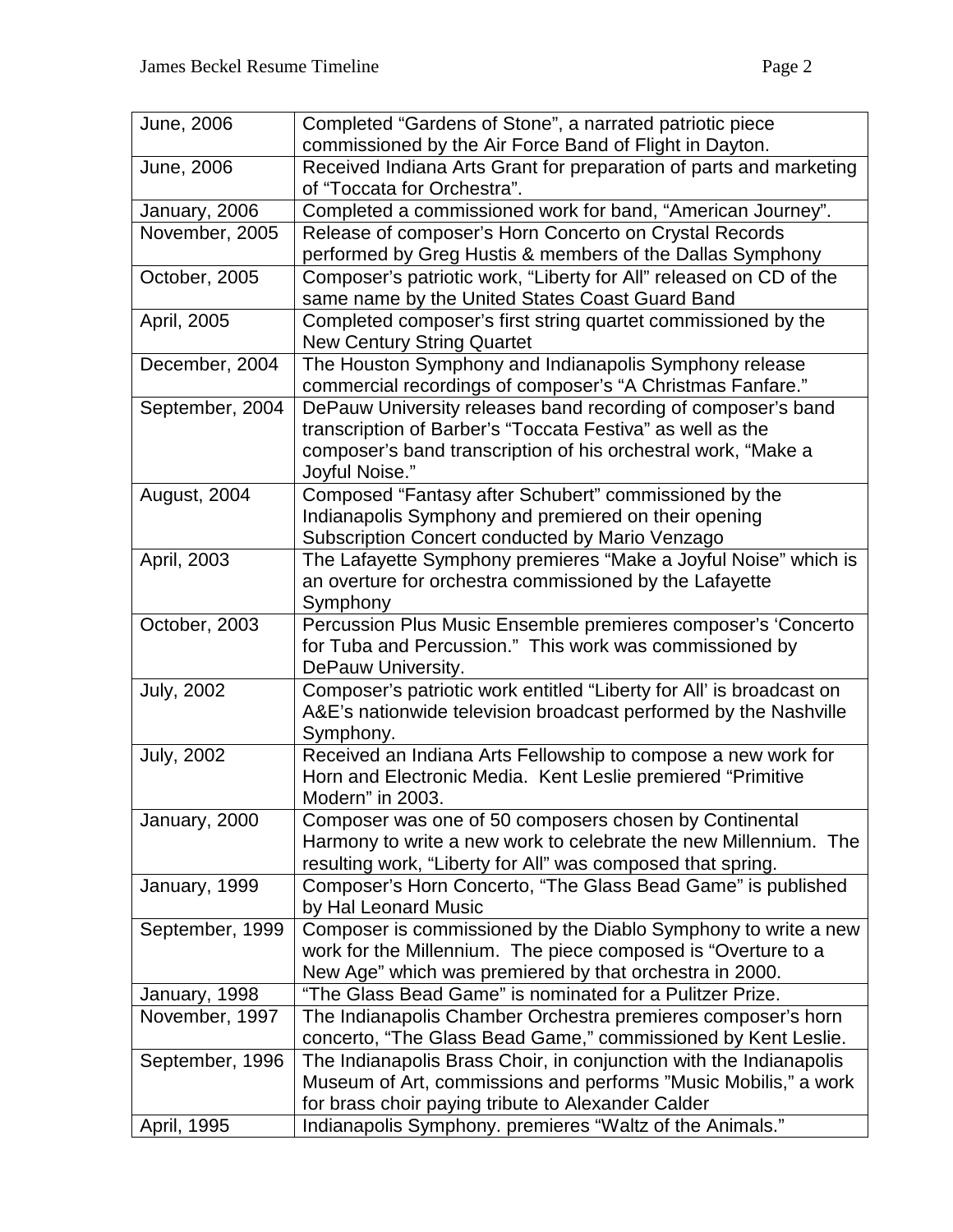| June, 2006        | Completed "Gardens of Stone", a narrated patriotic piece                                   |
|-------------------|--------------------------------------------------------------------------------------------|
|                   | commissioned by the Air Force Band of Flight in Dayton.                                    |
| June, 2006        | Received Indiana Arts Grant for preparation of parts and marketing                         |
|                   | of "Toccata for Orchestra".                                                                |
| January, 2006     | Completed a commissioned work for band, "American Journey".                                |
| November, 2005    | Release of composer's Horn Concerto on Crystal Records                                     |
|                   | performed by Greg Hustis & members of the Dallas Symphony                                  |
| October, 2005     | Composer's patriotic work, "Liberty for All" released on CD of the                         |
|                   | same name by the United States Coast Guard Band                                            |
| April, 2005       | Completed composer's first string quartet commissioned by the                              |
|                   | <b>New Century String Quartet</b>                                                          |
| December, 2004    | The Houston Symphony and Indianapolis Symphony release                                     |
|                   | commercial recordings of composer's "A Christmas Fanfare."                                 |
| September, 2004   | DePauw University releases band recording of composer's band                               |
|                   | transcription of Barber's "Toccata Festiva" as well as the                                 |
|                   | composer's band transcription of his orchestral work, "Make a                              |
|                   | Joyful Noise."                                                                             |
| August, 2004      | Composed "Fantasy after Schubert" commissioned by the                                      |
|                   | Indianapolis Symphony and premiered on their opening                                       |
|                   | Subscription Concert conducted by Mario Venzago                                            |
| April, 2003       | The Lafayette Symphony premieres "Make a Joyful Noise" which is                            |
|                   | an overture for orchestra commissioned by the Lafayette                                    |
|                   | Symphony                                                                                   |
| October, 2003     | Percussion Plus Music Ensemble premieres composer's 'Concerto                              |
|                   | for Tuba and Percussion." This work was commissioned by                                    |
|                   | DePauw University.<br>Composer's patriotic work entitled "Liberty for All' is broadcast on |
| <b>July, 2002</b> | A&E's nationwide television broadcast performed by the Nashville                           |
|                   | Symphony.                                                                                  |
| <b>July, 2002</b> | Received an Indiana Arts Fellowship to compose a new work for                              |
|                   | Horn and Electronic Media. Kent Leslie premiered "Primitive                                |
|                   | Modern" in 2003.                                                                           |
| January, 2000     | Composer was one of 50 composers chosen by Continental                                     |
|                   | Harmony to write a new work to celebrate the new Millennium. The                           |
|                   | resulting work, "Liberty for All" was composed that spring.                                |
| January, 1999     | Composer's Horn Concerto, "The Glass Bead Game" is published                               |
|                   | by Hal Leonard Music                                                                       |
| September, 1999   | Composer is commissioned by the Diablo Symphony to write a new                             |
|                   | work for the Millennium. The piece composed is "Overture to a                              |
|                   | New Age" which was premiered by that orchestra in 2000.                                    |
| January, 1998     | "The Glass Bead Game" is nominated for a Pulitzer Prize.                                   |
| November, 1997    | The Indianapolis Chamber Orchestra premieres composer's horn                               |
|                   | concerto, "The Glass Bead Game," commissioned by Kent Leslie.                              |
| September, 1996   | The Indianapolis Brass Choir, in conjunction with the Indianapolis                         |
|                   | Museum of Art, commissions and performs "Music Mobilis," a work                            |
|                   | for brass choir paying tribute to Alexander Calder                                         |
| April, 1995       | Indianapolis Symphony. premieres "Waltz of the Animals."                                   |
|                   |                                                                                            |